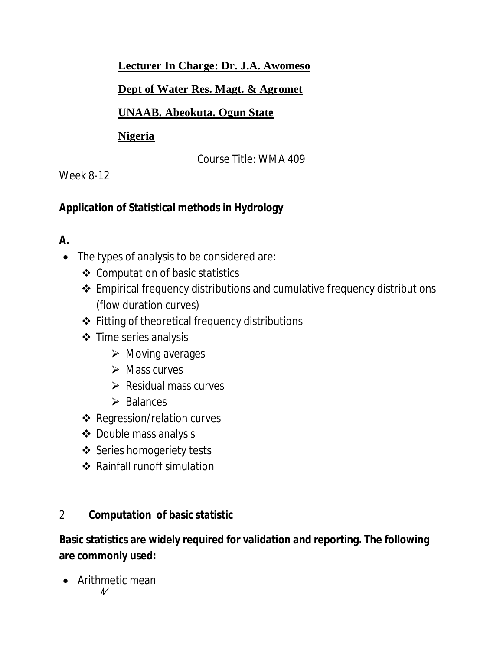#### **Lecturer In Charge: Dr. J.A. Awomeso**

#### **Dept of Water Res. Magt. & Agromet**

#### **UNAAB. Abeokuta. Ogun State**

#### **Nigeria**

Course Title: WMA 409

### Week 8-12

# **Application of Statistical methods in Hydrology**

# **A.**

- The types of analysis to be considered are:
	- Computation of basic statistics
	- Empirical frequency distributions and cumulative frequency distributions (flow duration curves)
	- Fitting of theoretical frequency distributions
	- Time series analysis
		- $\triangleright$  Moving averages
		- $\triangleright$  Mass curves
		- $\triangleright$  Residual mass curves
		- $\triangleright$  Balances
	- Regression/relation curves
	- Double mass analysis
	- ❖ Series homogeriety tests
	- Rainfall runoff simulation

### 2 **Computation of basic statistic**

### **Basic statistics are widely required for validation and reporting. The following are commonly used:**

• Arithmetic mean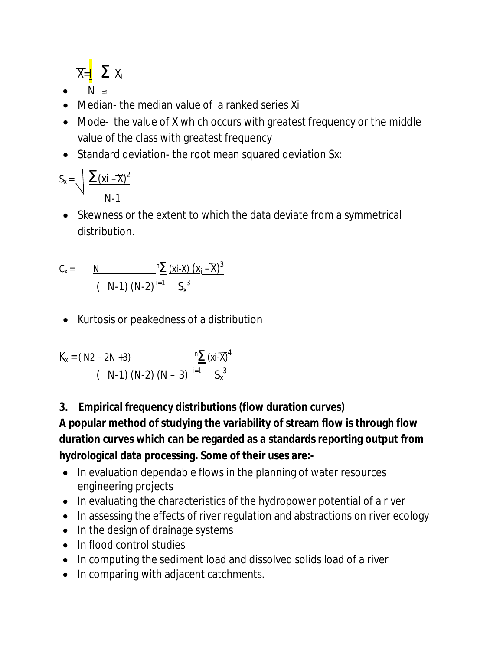$$
\overline{X}=\underline{\mathbf{I}} \quad \Sigma \ X_i
$$

- $\bullet$  *N* i=1
- Median- the median value of a ranked series *Xi*
- Mode- the value of X which occurs with greatest frequency or the middle value of the class with greatest frequency
- Standard deviation-the root mean squared deviation Sx:

$$
S_x = \sqrt{\frac{\sum (xi - \overline{x})^2}{N-1}}
$$

 Skewness or the extent to which the data deviate from a symmetrical distribution.

$$
C_x = \frac{N}{(N-1) (N-2)^{i=1}} \frac{{}^{n} \sum (x - x) (x_i - \overline{x})^3}{S_x{}^{3}}
$$

Kurtosis or peakedness of a distribution

$$
K_{x} = (\frac{N2 - 2N + 3}{N - 1} \frac{N}{N - 2} \frac{(xi \cdot \overline{X})^{4}}{N - 3} )
$$

**3. Empirical frequency distributions (flow duration curves)**

**A popular method of studying the variability of stream flow is through flow duration curves which can be regarded as a standards reporting output from hydrological data processing. Some of their uses are:-**

- In evaluation dependable flows in the planning of water resources engineering projects
- In evaluating the characteristics of the hydropower potential of a river
- In assessing the effects of river regulation and abstractions on river ecology
- In the design of drainage systems
- In flood control studies
- In computing the sediment load and dissolved solids load of a river
- In comparing with adjacent catchments.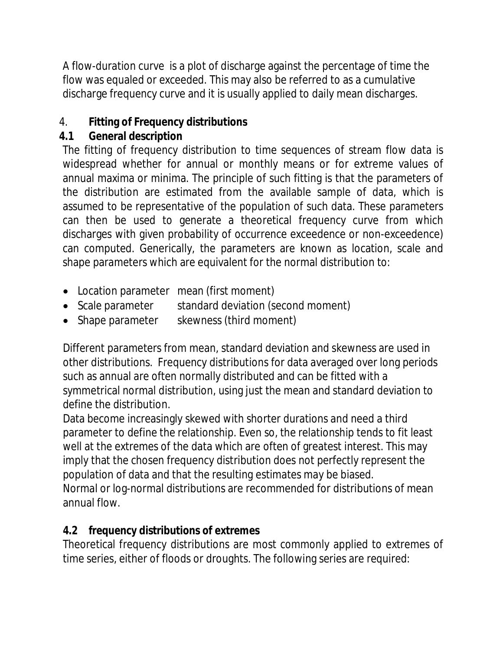A flow-duration curve is a plot of discharge against the percentage of time the flow was equaled or exceeded. This may also be referred to as a cumulative discharge frequency curve and it is usually applied to daily mean discharges.

# 4. **Fitting of Frequency distributions**

# **4.1 General description**

The fitting of frequency distribution to time sequences of stream flow data is widespread whether for annual or monthly means or for extreme values of annual maxima or minima. The principle of such fitting is that the parameters of the distribution are estimated from the available sample of data, which is assumed to be representative of the population of such data. These parameters can then be used to generate a theoretical frequency curve from which discharges with given probability of occurrence exceedence or non-exceedence) can computed. Generically, the parameters are known as location, scale and shape parameters which are equivalent for the normal distribution to:

- Location parameter mean (first moment)
- Scale parameter standard deviation (second moment)
- Shape parameter skewness (third moment)

Different parameters from mean, standard deviation and skewness are used in other distributions. Frequency distributions for data averaged over long periods such as annual are often normally distributed and can be fitted with a symmetrical normal distribution, using just the mean and standard deviation to define the distribution.

Data become increasingly skewed with shorter durations and need a third parameter to define the relationship. Even so, the relationship tends to fit least well at the extremes of the data which are often of greatest interest. This may imply that the chosen frequency distribution does not perfectly represent the population of data and that the resulting estimates may be biased.

Normal or log-normal distributions are recommended for distributions of mean annual flow.

### **4.2 frequency distributions of extremes**

Theoretical frequency distributions are most commonly applied to extremes of time series, either of floods or droughts. The following series are required: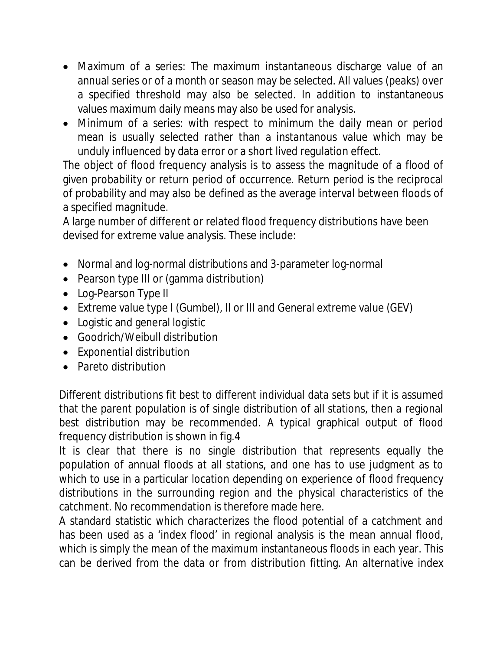- Maximum of a series: The maximum instantaneous discharge value of an annual series or of a month or season may be selected. All values (peaks) over a specified threshold may also be selected. In addition to instantaneous values maximum daily means may also be used for analysis.
- Minimum of a series: with respect to minimum the daily mean or period mean is usually selected rather than a instantanous value which may be unduly influenced by data error or a short lived regulation effect.

The object of flood frequency analysis is to assess the magnitude of a flood of given probability or return period of occurrence. Return period is the reciprocal of probability and may also be defined as the average interval between floods of a specified magnitude.

A large number of different or related flood frequency distributions have been devised for extreme value analysis. These include:

- Normal and log-normal distributions and 3-parameter log-normal
- Pearson type III or (gamma distribution)
- Log-Pearson Type II
- Extreme value type I (Gumbel), II or III and General extreme value (GEV)
- Logistic and general logistic
- Goodrich/Weibull distribution
- Exponential distribution
- Pareto distribution

Different distributions fit best to different individual data sets but if it is assumed that the parent population is of single distribution of all stations, then a regional best distribution may be recommended. A typical graphical output of flood frequency distribution is shown in fig.4

It is clear that there is no single distribution that represents equally the population of annual floods at all stations, and one has to use judgment as to which to use in a particular location depending on experience of flood frequency distributions in the surrounding region and the physical characteristics of the catchment. No recommendation is therefore made here.

A standard statistic which characterizes the flood potential of a catchment and has been used as a 'index flood' in regional analysis is the mean annual flood, which is simply the mean of the maximum instantaneous floods in each year. This can be derived from the data or from distribution fitting. An alternative index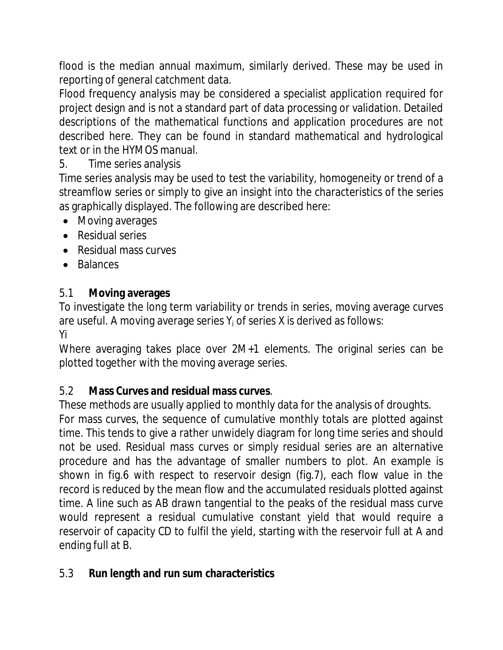flood is the median annual maximum, similarly derived. These may be used in reporting of general catchment data.

Flood frequency analysis may be considered a specialist application required for project design and is not a standard part of data processing or validation. Detailed descriptions of the mathematical functions and application procedures are not described here. They can be found in standard mathematical and hydrological text or in the HYMOS manual.

### 5. Time series analysis

Time series analysis may be used to test the variability, homogeneity or trend of a streamflow series or simply to give an insight into the characteristics of the series as graphically displayed. The following are described here:

- Moving averages
- Residual series
- Residual mass curves
- Balances

### 5.1 **Moving averages**

To investigate the long term variability or trends in series, moving average curves are useful. A moving average series  $Y_i$  of series X is derived as follows:

Yi

Where averaging takes place over 2M+1 elements. The original series can be plotted together with the moving average series.

#### 5.2 **Mass Curves and residual mass curves**.

These methods are usually applied to monthly data for the analysis of droughts.

For mass curves, the sequence of cumulative monthly totals are plotted against time. This tends to give a rather unwidely diagram for long time series and should not be used. Residual mass curves or simply residual series are an alternative procedure and has the advantage of smaller numbers to plot. An example is shown in fig.6 with respect to reservoir design (fig.7), each flow value in the record is reduced by the mean flow and the accumulated residuals plotted against time. A line such as AB drawn tangential to the peaks of the residual mass curve would represent a residual cumulative constant yield that would require a reservoir of capacity CD to fulfil the yield, starting with the reservoir full at A and ending full at B.

#### 5.3 **Run length and run sum characteristics**